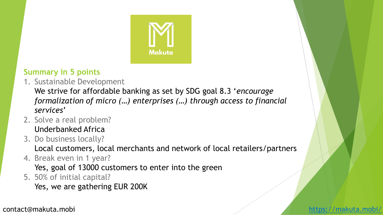

### **Summary in 5 points**

1. Sustainable Development

We strive for affordable banking as set by SDG goal 8.3 '*encourage formalization of micro (…) enterprises (…) through access to financial services*'

- 2. Solve a real problem? Underbanked Africa
- 3. Do business locally?

Local customers, local merchants and network of local retailers/partners

4. Break even in 1 year?

Yes, goal of 13000 customers to enter into the green

5. 50% of initial capital?

Yes, we are gathering EUR 200K

contact@makuta.mobi <https://makuta.mobi/>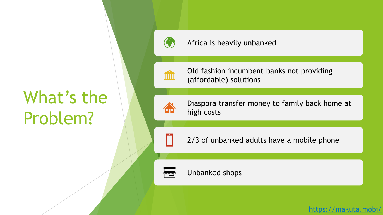# What's the Problem?



#### Africa is heavily unbanked



4

Old fashion incumbent banks not providing (affordable) solutions

Diaspora transfer money to family back home at high costs

2/3 of unbanked adults have a mobile phone



Unbanked shops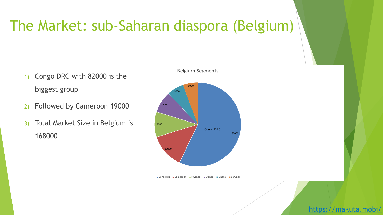### The Market: sub-Saharan diaspora (Belgium)

- 1) Congo DRC with 82000 is the biggest group
- 2) Followed by Cameroon 19000
- 3) Total Market Size in Belgium is 168000



Congo DR Cameroon Rwanda Guinea Ghana Burundi

#### Belgium Segments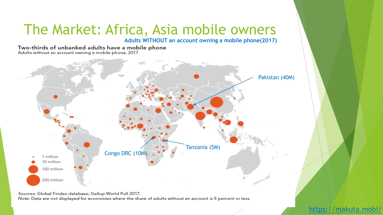## The Market: Africa, Asia mobile owners

**Adults WITHOUT an account owning a mobile phone(2017)**

Two-thirds of unbanked adults have a mobile phone Adults without an account owning a mobile phone, 2017



Sources: Global Findex database; Gallup World Poll 2017.

Note: Data are not displayed for economies where the share of adults without an account is 5 percent or less.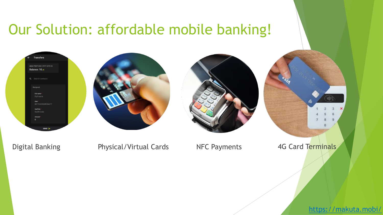### Our Solution: affordable mobile banking!

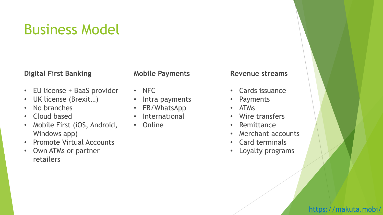### Business Model

#### **Digital First Banking**

#### **Mobile Payments**

- EU license + BaaS provider
- UK license (Brexit…)
- No branches
- Cloud based
- Mobile First (iOS, Android, Windows app)
- Promote Virtual Accounts
- Own ATMs or partner retailers
- NFC
- Intra payments
- FB/WhatsApp
- International
- Online

#### **Revenue streams**

- Cards issuance
- Payments
- ATMs
- Wire transfers
- Remittance
- Merchant accounts
- Card terminals
- Loyalty programs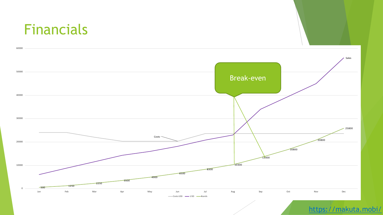### Financials

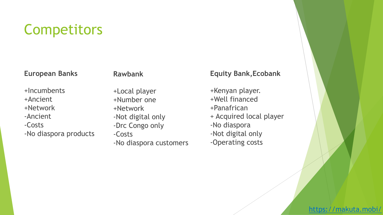### **Competitors**

#### **European Banks**

#### **Rawbank**

+Incumbents +Ancient +Network -Ancient -Costs -No diaspora products +Local player +Number one +Network -Not digital only -Drc Congo only -Costs -No diaspora customers

#### **Equity Bank,Ecobank**

+Kenyan player. +Well financed +Panafrican + Acquired local player -No diaspora -Not digital only -Operating costs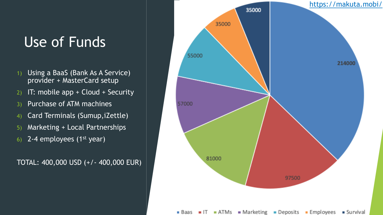### Use of Funds

- 1) Using a BaaS (Bank As A Service) provider + MasterCard setup
- 2) IT: mobile app + Cloud + Security
- 3) Purchase of ATM machines
- 4) Card Terminals (Sumup,iZettle)
- 5) Marketing + Local Partnerships
- 6) 2-4 employees  $(1<sup>st</sup> year)$

TOTAL: 400,000 USD (+/- 400,000 EUR)